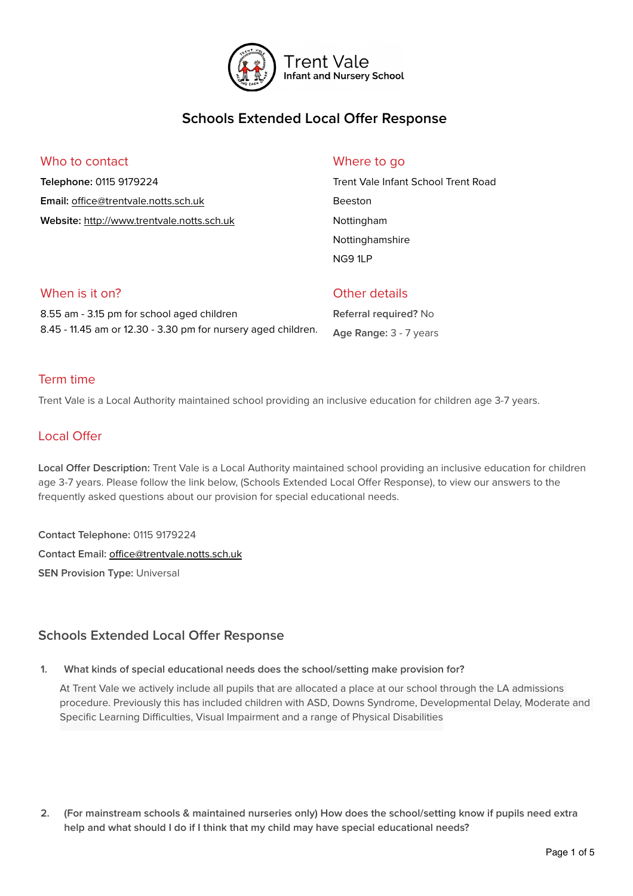

# **Schools Extended Local Offer Response**

### Who to contact

**Telephone:** 0115 9179224 **Email:** offi[ce@trentvale.notts.sch.uk](mailto:office@trentvale.notts.sch.uk) **Website:** <http://www.trentvale.notts.sch.uk>

### Where to go

Trent Vale Infant School Trent Road Beeston Nottingham Nottinghamshire NG9 1LP

## When is it on? 8.55 am - 3.15 pm for school aged children 8.45 - 11.45 am or 12.30 - 3.30 pm for nursery aged children.

### Other details

**Referral required?** No **Age Range:** 3 - 7 years

### Term time

Trent Vale is a Local Authority maintained school providing an inclusive education for children age 3-7 years.

## Local Offer

Local Offer Description: Trent Vale is a Local Authority maintained school providing an inclusive education for children age 3-7 years. Please follow the link below, (Schools Extended Local Offer Response), to view our answers to the frequently asked questions about our provision for special educational needs.

**Contact Telephone:** 0115 9179224 **Contact Email:** offi[ce@trentvale.notts.sch.uk](mailto:office@trentvale.notts.sch.uk) **SEN Provision Type: Universal** 

## **Schools Extended Local Offer Response**

#### **1. What kinds of special educational needs does the school/setting make provision for?**

At Trent Vale we actively include all pupils that are allocated a place at our school through the LA admissions procedure. Previously this has included children with ASD, Downs Syndrome, Developmental Delay, Moderate and Specific Learning Difficulties, Visual Impairment and a range of Physical Disabilities

**2. (For mainstream schools & maintained nurseries only) How does the school/setting know if pupils need extra help and what should I do if I think that my child may have special educational needs?**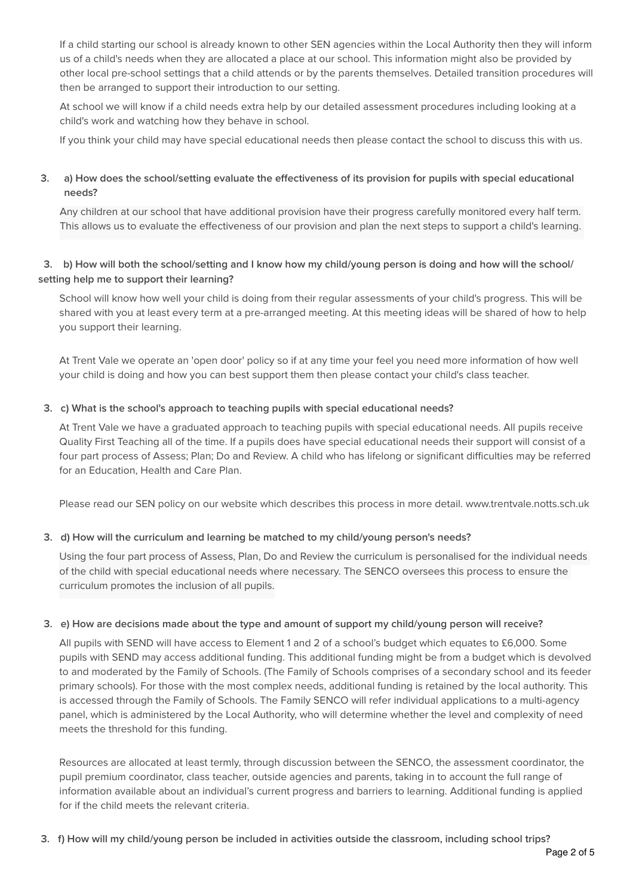If a child starting our school is already known to other SEN agencies within the Local Authority then they will inform us of a child's needs when they are allocated a place at our school. This information might also be provided by other local pre-school settings that a child attends or by the parents themselves. Detailed transition procedures will then be arranged to support their introduction to our setting.

At school we will know if a child needs extra help by our detailed assessment procedures including looking at a child's work and watching how they behave in school.

If you think your child may have special educational needs then please contact the school to discuss this with us.

#### **3. a) How does the school/setting evaluate the effectiveness of its provision for pupils with special educational needs?**

Any children at our school that have additional provision have their progress carefully monitored every half term. This allows us to evaluate the effectiveness of our provision and plan the next steps to support a child's learning.

#### **3. b) How will both the school/setting and I know how my child/young person is doing and how will the school/ setting help me to support their learning?**

School will know how well your child is doing from their regular assessments of your child's progress. This will be shared with you at least every term at a pre-arranged meeting. At this meeting ideas will be shared of how to help you support their learning.

At Trent Vale we operate an 'open door' policy so if at any time your feel you need more information of how well your child is doing and how you can best support them then please contact your child's class teacher.

#### **3. c) What is the school's approach to teaching pupils with special educational needs?**

At Trent Vale we have a graduated approach to teaching pupils with special educational needs. All pupils receive Quality First Teaching all of the time. If a pupils does have special educational needs their support will consist of a four part process of Assess; Plan; Do and Review. A child who has lifelong or significant difficulties may be referred for an Education, Health and Care Plan.

Please read our SEN policy on our website which describes this process in more detail. www.trentvale.notts.sch.uk

#### **3. d) How will the curriculum and learning be matched to my child/young person's needs?**

Using the four part process of Assess, Plan, Do and Review the curriculum is personalised for the individual needs of the child with special educational needs where necessary. The SENCO oversees this process to ensure the curriculum promotes the inclusion of all pupils.

#### **3. e) How are decisions made about the type and amount of support my child/young person will receive?**

All pupils with SEND will have access to Element 1 and 2 of a school's budget which equates to £6,000. Some pupils with SEND may access additional funding. This additional funding might be from a budget which is devolved to and moderated by the Family of Schools. (The Family of Schools comprises of a secondary school and its feeder primary schools). For those with the most complex needs, additional funding is retained by the local authority. This is accessed through the Family of Schools. The Family SENCO will refer individual applications to a multi-agency panel, which is administered by the Local Authority, who will determine whether the level and complexity of need meets the threshold for this funding.

Resources are allocated at least termly, through discussion between the SENCO, the assessment coordinator, the pupil premium coordinator, class teacher, outside agencies and parents, taking in to account the full range of information available about an individual's current progress and barriers to learning. Additional funding is applied for if the child meets the relevant criteria.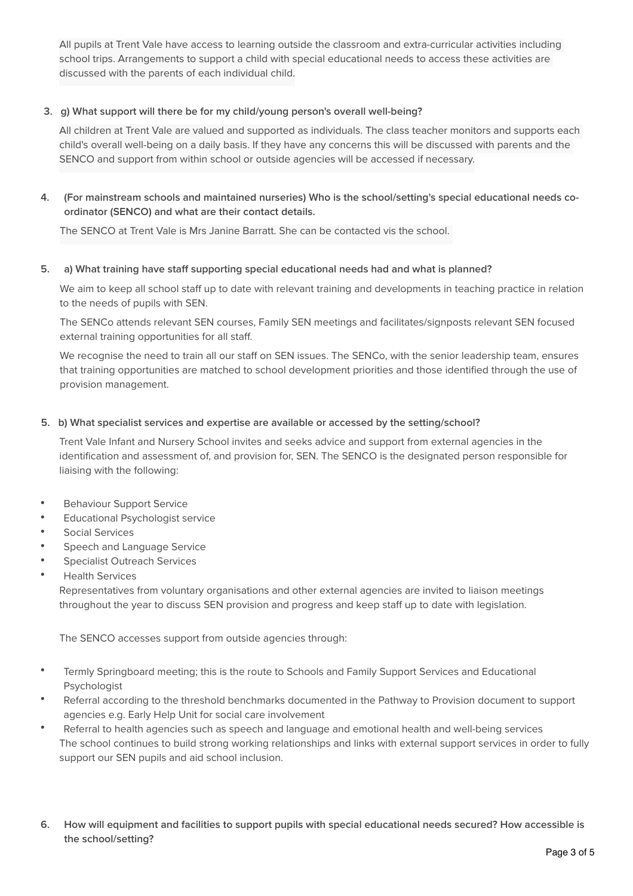All pupils at Trent Vale have access to learning outside the classroom and extra-curricular activities including school trips. Arrangements to support a child with special educational needs to access these activities are discussed with the parents of each individual child.

#### **3. g) What support will there be for my child/young person's overall well-being?**

All children at Trent Vale are valued and supported as individuals. The class teacher monitors and supports each child's overall well-being on a daily basis. If they have any concerns this will be discussed with parents and the SENCO and support from within school or outside agencies will be accessed if necessary.

**4. (For mainstream schools and maintained nurseries) Who is the school/setting's special educational needs coordinator (SENCO) and what are their contact details.**

The SENCO at Trent Vale is Mrs Janine Barratt. She can be contacted vis the school.

#### **5. a) What training have staff supporting special educational needs had and what is planned?**

We aim to keep all school staff up to date with relevant training and developments in teaching practice in relation to the needs of pupils with SEN.

The SENCo attends relevant SEN courses, Family SEN meetings and facilitates/signposts relevant SEN focused external training opportunities for all staff.

We recognise the need to train all our staff on SEN issues. The SENCo, with the senior leadership team, ensures that training opportunities are matched to school development priorities and those identified through the use of provision management.

#### **5. b) What specialist services and expertise are available or accessed by the setting/school?**

Trent Vale Infant and Nursery School invites and seeks advice and support from external agencies in the identification and assessment of, and provision for, SEN. The SENCO is the designated person responsible for liaising with the following:

- Behaviour Support Service
- Educational Psychologist service
- Social Services
- Speech and Language Service
- Specialist Outreach Services
- Health Services

Representatives from voluntary organisations and other external agencies are invited to liaison meetings throughout the year to discuss SEN provision and progress and keep staff up to date with legislation.

The SENCO accesses support from outside agencies through:

- Termly Springboard meeting; this is the route to Schools and Family Support Services and Educational Psychologist
- Referral according to the threshold benchmarks documented in the Pathway to Provision document to support agencies e.g. Early Help Unit for social care involvement
- Referral to health agencies such as speech and language and emotional health and well-being services The school continues to build strong working relationships and links with external support services in order to fully support our SEN pupils and aid school inclusion.
- **6. How will equipment and facilities to support pupils with special educational needs secured? How accessible is the school/setting?**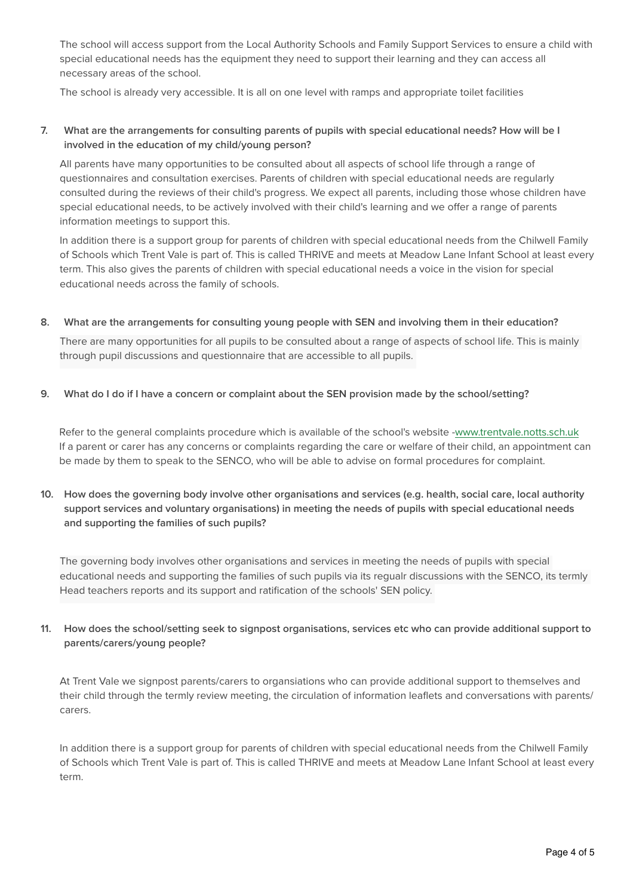The school will access support from the Local Authority Schools and Family Support Services to ensure a child with special educational needs has the equipment they need to support their learning and they can access all necessary areas of the school.

The school is already very accessible. It is all on one level with ramps and appropriate toilet facilities

#### **7. What are the arrangements for consulting parents of pupils with special educational needs? How will be I involved in the education of my child/young person?**

All parents have many opportunities to be consulted about all aspects of school life through a range of questionnaires and consultation exercises. Parents of children with special educational needs are regularly consulted during the reviews of their child's progress. We expect all parents, including those whose children have special educational needs, to be actively involved with their child's learning and we offer a range of parents information meetings to support this.

In addition there is a support group for parents of children with special educational needs from the Chilwell Family of Schools which Trent Vale is part of. This is called THRIVE and meets at Meadow Lane Infant School at least every term. This also gives the parents of children with special educational needs a voice in the vision for special educational needs across the family of schools.

**8. What are the arrangements for consulting young people with SEN and involving them in their education?**

There are many opportunities for all pupils to be consulted about a range of aspects of school life. This is mainly through pupil discussions and questionnaire that are accessible to all pupils.

**9. What do I do if I have a concern or complaint about the SEN provision made by the school/setting?** 

Refer to the general complaints procedure which is available of the school's website -[www.trentvale.notts.sch.uk](http://www.trentvale.notts.sch.uk/) If a parent or carer has any concerns or complaints regarding the care or welfare of their child, an appointment can be made by them to speak to the SENCO, who will be able to advise on formal procedures for complaint.

**10. How does the governing body involve other organisations and services (e.g. health, social care, local authority support services and voluntary organisations) in meeting the needs of pupils with special educational needs and supporting the families of such pupils?** 

The governing body involves other organisations and services in meeting the needs of pupils with special educational needs and supporting the families of such pupils via its regualr discussions with the SENCO, its termly Head teachers reports and its support and ratification of the schools' SEN policy.

#### **11. How does the school/setting seek to signpost organisations, services etc who can provide additional support to parents/carers/young people?**

At Trent Vale we signpost parents/carers to organsiations who can provide additional support to themselves and their child through the termly review meeting, the circulation of information leaflets and conversations with parents/ carers.

In addition there is a support group for parents of children with special educational needs from the Chilwell Family of Schools which Trent Vale is part of. This is called THRIVE and meets at Meadow Lane Infant School at least every term.